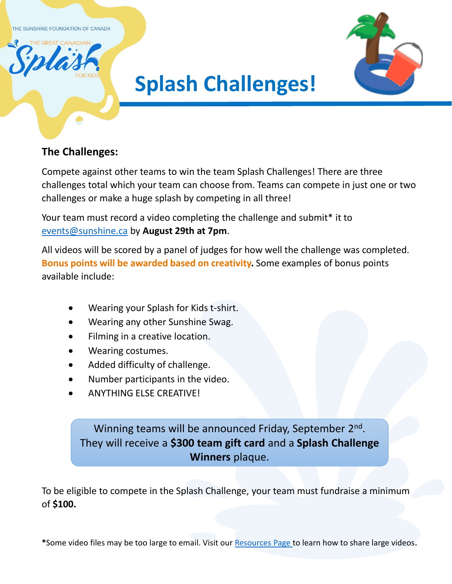THE SUNSHINE FOUNDATION OF CANADA



# **Splash Challenges!**

### **The Challenges:**

Compete against other teams to win the team Splash Challenges! There are three challenges total which your team can choose from. Teams can compete in just one or two challenges or make a huge splash by competing in all three!

Your team must record a video completing the challenge and submit\* it to [events@sunshine.ca](mailto:events@sunshine.ca) by **August 29th at 7pm**.

All videos will be scored by a panel of judges for how well the challenge was completed. **Bonus points will be awarded based on creativity.** Some examples of bonus points available include:

- Wearing your Splash for Kids t-shirt.
- Wearing any other Sunshine Swag.
- Filming in a creative location.
- Wearing costumes.
- Added difficulty of challenge.
- Number participants in the video.
- ANYTHING ELSE CREATIVE!

Winning teams will be announced Friday, September 2<sup>nd</sup>. They will receive a **\$300 team gift card** and a **Splash Challenge Winners** plaque.

To be eligible to compete in the Splash Challenge, your team must fundraise a minimum of **\$100.**

**\***Some video files may be too large to email. Visit our [Resources Page t](https://secure3.convio.net/sfoc/site/TR/Events/General?pg=informational&fr_id=1250&type=fr_informational&sid=1044)o learn how to share large videos.